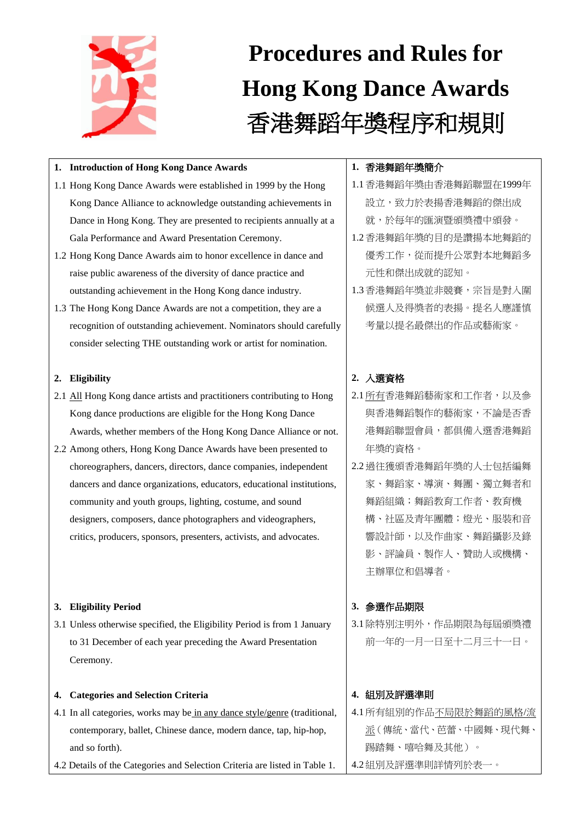

# **Procedures and Rules for Hong Kong Dance Awards** 香港舞蹈年獎程序和規則

## **1. Introduction of Hong Kong Dance Awards**

- 1.1 Hong Kong Dance Awards were established in 1999 by the Hong Kong Dance Alliance to acknowledge outstanding achievements in Dance in Hong Kong. They are presented to recipients annually at a Gala Performance and Award Presentation Ceremony.
- 1.2 Hong Kong Dance Awards aim to honor excellence in dance and raise public awareness of the diversity of dance practice and outstanding achievement in the Hong Kong dance industry.
- 1.3 The Hong Kong Dance Awards are not a competition, they are a recognition of outstanding achievement. Nominators should carefully consider selecting THE outstanding work or artist for nomination.

## **2. Eligibility**

- 2.1 All Hong Kong dance artists and practitioners contributing to Hong Kong dance productions are eligible for the Hong Kong Dance Awards, whether members of the Hong Kong Dance Alliance or not.
- 2.2 Among others, Hong Kong Dance Awards have been presented to choreographers, dancers, directors, dance companies, independent dancers and dance organizations, educators, educational institutions, community and youth groups, lighting, costume, and sound designers, composers, dance photographers and videographers, critics, producers, sponsors, presenters, activists, and advocates.

## **3. Eligibility Period**

3.1 Unless otherwise specified, the Eligibility Period is from 1 January to 31 December of each year preceding the Award Presentation Ceremony.

## **4. Categories and Selection Criteria**

- 4.1 In all categories, works may be in any dance style/genre (traditional, contemporary, ballet, Chinese dance, modern dance, tap, hip-hop, and so forth).
- 4.2 Details of the Categories and Selection Criteria are listed in Table 1.

## **1.** 香港舞蹈年獎簡介

- 1.1香港舞蹈年獎由香港舞蹈聯盟在1999年 設立,致力於表揚香港舞蹈的傑出成 就,於每年的匯演暨頒獎禮中頒發。
- 1.2香港舞蹈年獎的目的是讚揚本地舞蹈的 優秀工作,從而提升公眾對本地舞蹈多 元性和傑出成就的認知。
- 1.3香港舞蹈年獎並非競賽,宗旨是對入圍 候選人及得獎者的表揚。提名人應謹慎 考量以提名最傑出的作品或藝術家。

# **2.** 入選資格

- 2.1所有香港舞蹈藝術家和工作者,以及參 與香港舞蹈製作的藝術家,不論是否香 港舞蹈聯盟會員,都俱備入選香港舞蹈 年獎的資格。
- 2.2過往獲頒香港舞蹈年獎的人士包括編舞 家、舞蹈家、導演、舞團、獨立舞者和 舞蹈組織;舞蹈教育工作者、教育機 構、社區及青年團體;燈光、服裝和音 響設計師,以及作曲家、舞蹈攝影及錄 影、評論員、製作人、贊助人或機構、 主辦單位和倡導者。

## **3.** 參選作品期限

3.1除特別注明外,作品期限為每屆頒獎禮 前一年的一月一日至十二月三十一日。

## **4.** 組別及評選準則

4.1所有組別的作品不局限於舞蹈的風格/流 派(傳統、當代、芭蕾、中國舞、現代舞、 踢踏舞、嘻哈舞及其他)。 4.2組別及評選準則詳情列於表一。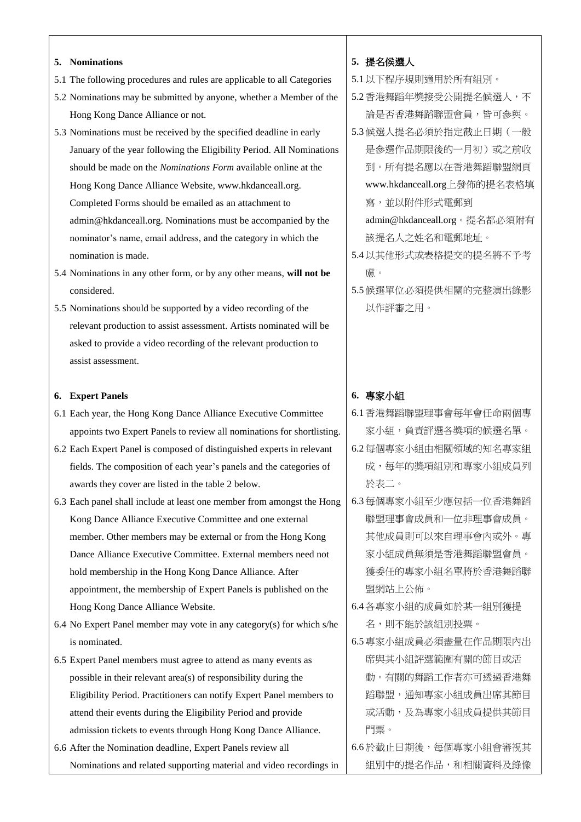#### **5. Nominations**

- 5.1 The following procedures and rules are applicable to all Categories
- 5.2 Nominations may be submitted by anyone, whether a Member of the Hong Kong Dance Alliance or not.
- 5.3 Nominations must be received by the specified deadline in early January of the year following the Eligibility Period. All Nominations should be made on the *Nominations Form* available online at the Hong Kong Dance Alliance Website, www.hkdanceall.org. Completed Forms should be emailed as an attachment to admin@hkdanceall.org. Nominations must be accompanied by the nominator's name, email address, and the category in which the nomination is made.
- 5.4 Nominations in any other form, or by any other means, **will not be**  considered.
- 5.5 Nominations should be supported by a video recording of the relevant production to assist assessment. Artists nominated will be asked to provide a video recording of the relevant production to assist assessment.

#### **6. Expert Panels**

- 6.1 Each year, the Hong Kong Dance Alliance Executive Committee appoints two Expert Panels to review all nominations for shortlisting.
- 6.2 Each Expert Panel is composed of distinguished experts in relevant fields. The composition of each year's panels and the categories of awards they cover are listed in the table 2 below.
- 6.3 Each panel shall include at least one member from amongst the Hong Kong Dance Alliance Executive Committee and one external member. Other members may be external or from the Hong Kong Dance Alliance Executive Committee. External members need not hold membership in the Hong Kong Dance Alliance. After appointment, the membership of Expert Panels is published on the Hong Kong Dance Alliance Website.
- 6.4 No Expert Panel member may vote in any category(s) for which s/he is nominated.
- 6.5 Expert Panel members must agree to attend as many events as possible in their relevant area(s) of responsibility during the Eligibility Period. Practitioners can notify Expert Panel members to attend their events during the Eligibility Period and provide admission tickets to events through Hong Kong Dance Alliance.
- 6.6 After the Nomination deadline, Expert Panels review all Nominations and related supporting material and video recordings in

#### **5.** 提名候選人

5.1以下程序規則適用於所有組別。

- 5.2香港舞蹈年獎接受公開提名候選人,不 論是否香港舞蹈聯盟會員,皆可參與。
- 5.3候選人提名必須於指定截止日期(一般 是參選作品期限後的一月初)或之前收 到。所有提名應以在香港舞蹈聯盟網頁 www.hkdanceall.org上發佈的提名表格填 寫,並以附件形式電郵到

admin@hkdanceall.org。提名都必須附有 該提名人之姓名和電郵地址。

- 5.4以其他形式或表格提交的提名將不予考 慮。
- 5.5候選單位必須提供相關的完整演出錄影 以作評審之用。

#### **6.** 專家小組

- 6.1香港舞蹈聯盟理事會每年會任命兩個專 家小組,負責評選各獎項的候選名單。
- 6.2每個專家小組由相關領域的知名專家組 成,每年的獎項組別和專家小組成員列 於表二。
- 6.3每個專家小組至少應包括一位香港舞蹈 聯盟理事會成員和一位非理事會成員。 其他成員則可以來自理事會內或外。專 家小組成員無須是香港舞蹈聯盟會員。 獲委任的專家小組名單將於香港舞蹈聯 盟網站上公佈。
- 6.4各專家小組的成員如於某一組別獲提 名,則不能於該組別投票。
- 6.5專家小組成員必須盡量在作品期限內出 席與其小組評選範圍有關的節目或活 動。有關的舞蹈工作者亦可透過香港舞 蹈聯盟,通知專家小組成員出席其節目 或活動,及為專家小組成員提供其節目 門票。
- 6.6於截止日期後,每個專家小組會審視其 組別中的提名作品,和相關資料及錄像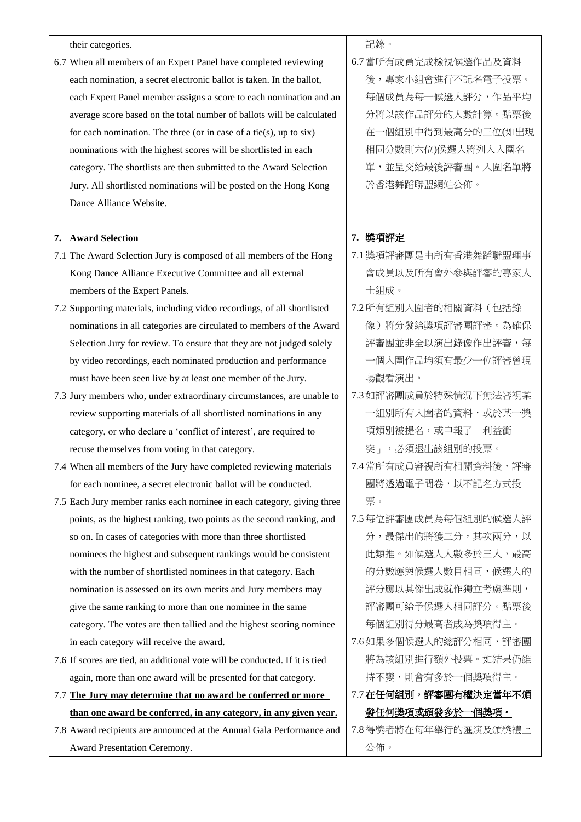their categories.

6.7 When all members of an Expert Panel have completed reviewing each nomination, a secret electronic ballot is taken. In the ballot, each Expert Panel member assigns a score to each nomination and an average score based on the total number of ballots will be calculated for each nomination. The three (or in case of a tie(s), up to  $six$ ) nominations with the highest scores will be shortlisted in each category. The shortlists are then submitted to the Award Selection Jury. All shortlisted nominations will be posted on the Hong Kong Dance Alliance Website.

#### **7. Award Selection**

- 7.1 The Award Selection Jury is composed of all members of the Hong Kong Dance Alliance Executive Committee and all external members of the Expert Panels.
- 7.2 Supporting materials, including video recordings, of all shortlisted nominations in all categories are circulated to members of the Award Selection Jury for review. To ensure that they are not judged solely by video recordings, each nominated production and performance must have been seen live by at least one member of the Jury.
- 7.3 Jury members who, under extraordinary circumstances, are unable to review supporting materials of all shortlisted nominations in any category, or who declare a 'conflict of interest', are required to recuse themselves from voting in that category.
- 7.4 When all members of the Jury have completed reviewing materials for each nominee, a secret electronic ballot will be conducted.
- 7.5 Each Jury member ranks each nominee in each category, giving three points, as the highest ranking, two points as the second ranking, and so on. In cases of categories with more than three shortlisted nominees the highest and subsequent rankings would be consistent with the number of shortlisted nominees in that category. Each nomination is assessed on its own merits and Jury members may give the same ranking to more than one nominee in the same category. The votes are then tallied and the highest scoring nominee in each category will receive the award.
- 7.6 If scores are tied, an additional vote will be conducted. If it is tied again, more than one award will be presented for that category.
- 7.7 **The Jury may determine that no award be conferred or more than one award be conferred, in any category, in any given year.**
- 7.8 Award recipients are announced at the Annual Gala Performance and Award Presentation Ceremony.

記錄。

6.7當所有成員完成檢視候選作品及資料 後,專家小組會進行不記名電子投票。 每個成員為每一候選人評分,作品平均 分將以該作品評分的人數計算。點票後 在一個組別中得到最高分的三位(如出現 相同分數則六位)候選人將列入入圍名 單,並呈交給最後評審團。入圍名單將 於香港舞蹈聯盟網站公佈。

#### **7.** 獎項評定

- 7.1獎項評審團是由所有香港舞蹈聯盟理事 會成員以及所有會外參與評審的專家人 士組成。
- 7.2所有組別入圍者的相關資料(包括錄 像)將分發給獎項評審團評審。為確保 評審團並非全以演出錄像作出評審,每 一個入圍作品均須有最少一位評審曾現 場觀看演出。
- 7.3如評審團成員於特殊情況下無法審視某 一組別所有入圍者的資料,或於某一獎 項類別被提名,或申報了「利益衝 突」,必須退出該組別的投票。
- 7.4當所有成員審視所有相關資料後,評審 團將透過電子問卷,以不記名方式投 票。
- 7.5每位評審團成員為每個組別的候選人評 分,最傑出的將獲三分,其次兩分,以 此類推。如候選人人數多於三人,最高 的分數應與候選人數目相同,候選人的 評分應以其傑出成就作獨立考慮準則, 評審團可給予候選人相同評分。點票後 每個組別得分最高者成為獎項得主。
- 7.6如果多個候選人的總評分相同,評審團 將為該組別進行額外投票。如結果仍維 持不變,則會有多於一個獎項得主。
- 7.7 在任何組別,評審團有權決定當年不頒 發任何獎項或頒發多於一個獎項。
- 7.8得獎者將在每年舉行的匯演及頒獎禮上 公佈。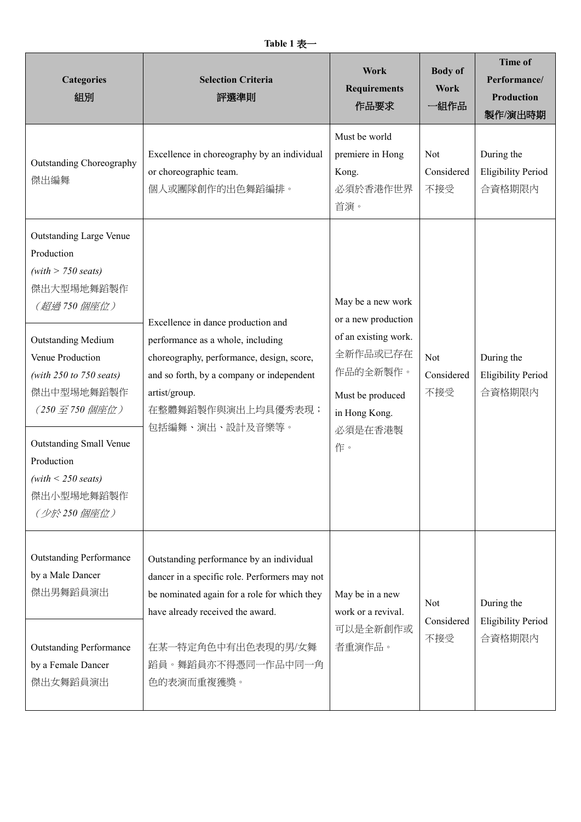| <b>Categories</b><br>組別                                                                                                                                                                                                                                                                                                                      | <b>Selection Criteria</b><br>評選準則                                                                                                                                                                                                       | Work<br><b>Requirements</b><br>作品要求                                                                                                            | <b>Body of</b><br>Work<br>一組作品  | <b>Time of</b><br>Performance/<br>Production<br>製作/演出時期 |
|----------------------------------------------------------------------------------------------------------------------------------------------------------------------------------------------------------------------------------------------------------------------------------------------------------------------------------------------|-----------------------------------------------------------------------------------------------------------------------------------------------------------------------------------------------------------------------------------------|------------------------------------------------------------------------------------------------------------------------------------------------|---------------------------------|---------------------------------------------------------|
| <b>Outstanding Choreography</b><br>傑出編舞                                                                                                                                                                                                                                                                                                      | Excellence in choreography by an individual<br>or choreographic team.<br>個人或團隊創作的出色舞蹈編排。                                                                                                                                                | Must be world<br>premiere in Hong<br>Kong.<br>必須於香港作世界<br>首演。                                                                                  | <b>Not</b><br>Considered<br>不接受 | During the<br><b>Eligibility Period</b><br>合資格期限内       |
| <b>Outstanding Large Venue</b><br>Production<br>$(with > 750 \text{ seats})$<br>傑出大型場地舞蹈製作<br>(超過750個座位)<br><b>Outstanding Medium</b><br>Venue Production<br>(with $250$ to $750$ seats)<br>傑出中型場地舞蹈製作<br>$(250 \n  E 750 $ 個座位)<br><b>Outstanding Small Venue</b><br>Production<br>$(with < 250 \text{ seats})$<br>傑出小型場地舞蹈製作<br>(少於250個座位) | Excellence in dance production and<br>performance as a whole, including<br>choreography, performance, design, score,<br>and so forth, by a company or independent<br>artist/group.<br>在整體舞蹈製作與演出上均具優秀表現;<br>包括編舞、演出、設計及音樂等。             | May be a new work<br>or a new production<br>of an existing work.<br>全新作品或已存在<br>作品的全新製作。<br>Must be produced<br>in Hong Kong.<br>必須是在香港製<br>作。 | Not<br>Considered<br>不接受        | During the<br><b>Eligibility Period</b><br>合資格期限内       |
| <b>Outstanding Performance</b><br>by a Male Dancer<br>傑出男舞蹈員演出<br><b>Outstanding Performance</b><br>by a Female Dancer<br>傑出女舞蹈員演出                                                                                                                                                                                                           | Outstanding performance by an individual<br>dancer in a specific role. Performers may not<br>be nominated again for a role for which they<br>have already received the award.<br>在某一特定角色中有出色表現的男/女舞<br>蹈員。舞蹈員亦不得憑同一作品中同一角<br>色的表演而重複獲獎。 | May be in a new<br>work or a revival.<br>可以是全新創作或<br>者重演作品。                                                                                    | <b>Not</b><br>Considered<br>不接受 | During the<br><b>Eligibility Period</b><br>合資格期限內       |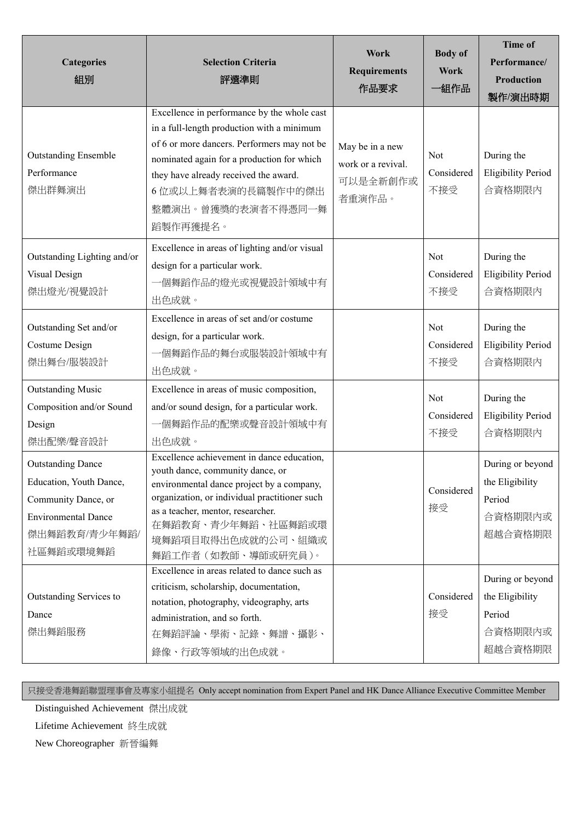| <b>Categories</b><br>組別                                                                                                                | <b>Selection Criteria</b><br>評選準則                                                                                                                                                                                                                                                       | Work<br><b>Requirements</b><br>作品要求                         | <b>Body</b> of<br>Work<br>一組作品 | <b>Time of</b><br>Performance/<br><b>Production</b><br>製作/演出時期      |
|----------------------------------------------------------------------------------------------------------------------------------------|-----------------------------------------------------------------------------------------------------------------------------------------------------------------------------------------------------------------------------------------------------------------------------------------|-------------------------------------------------------------|--------------------------------|---------------------------------------------------------------------|
| <b>Outstanding Ensemble</b><br>Performance<br>傑出群舞演出                                                                                   | Excellence in performance by the whole cast<br>in a full-length production with a minimum<br>of 6 or more dancers. Performers may not be<br>nominated again for a production for which<br>they have already received the award.<br>6位或以上舞者表演的長篇製作中的傑出<br>整體演出。曾獲獎的表演者不得憑同一舞<br>蹈製作再獲提名。 | May be in a new<br>work or a revival.<br>可以是全新創作或<br>者重演作品。 | Not<br>Considered<br>不接受       | During the<br><b>Eligibility Period</b><br>合資格期限内                   |
| Outstanding Lighting and/or<br>Visual Design<br>傑出燈光/視覺設計                                                                              | Excellence in areas of lighting and/or visual<br>design for a particular work.<br>一個舞蹈作品的燈光或視覺設計領域中有<br>出色成就。                                                                                                                                                                           |                                                             | Not<br>Considered<br>不接受       | During the<br><b>Eligibility Period</b><br>合資格期限內                   |
| Outstanding Set and/or<br>Costume Design<br>傑出舞台/服裝設計                                                                                  | Excellence in areas of set and/or costume<br>design, for a particular work.<br>一個舞蹈作品的舞台或服裝設計領域中有<br>出色成就。                                                                                                                                                                              |                                                             | Not<br>Considered<br>不接受       | During the<br><b>Eligibility Period</b><br>合資格期限内                   |
| <b>Outstanding Music</b><br>Composition and/or Sound<br>Design<br>傑出配樂/聲音設計                                                            | Excellence in areas of music composition,<br>and/or sound design, for a particular work.<br>一個舞蹈作品的配樂或聲音設計領域中有<br>出色成就。                                                                                                                                                                 |                                                             | Not<br>Considered<br>不接受       | During the<br><b>Eligibility Period</b><br>合資格期限內                   |
| <b>Outstanding Dance</b><br>Education, Youth Dance,<br>Community Dance, or<br><b>Environmental Dance</b><br>傑出舞蹈教育/青少年舞蹈/<br>社區舞蹈或環境舞蹈 | Excellence achievement in dance education,<br>youth dance, community dance, or<br>environmental dance project by a company,<br>organization, or individual practitioner such<br>as a teacher, mentor, researcher.<br>在舞蹈教育、青少年舞蹈、社區舞蹈或環<br>境舞蹈項目取得出色成就的公司、組織或<br>舞蹈工作者 (如教師、導師或研究員)。    |                                                             | Considered<br>接受               | During or beyond<br>the Eligibility<br>Period<br>合資格期限内或<br>超越合資格期限 |
| Outstanding Services to<br>Dance<br>傑出舞蹈服務                                                                                             | Excellence in areas related to dance such as<br>criticism, scholarship, documentation,<br>notation, photography, videography, arts<br>administration, and so forth.<br>在舞蹈評論、學術、記錄、舞譜、攝影、<br>錄像、行政等領域的出色成就。                                                                             |                                                             | Considered<br>接受               | During or beyond<br>the Eligibility<br>Period<br>合資格期限内或<br>超越合資格期限 |

只接受香港舞蹈聯盟理事會及專家小組提名 Only accept nomination from Expert Panel and HK Dance Alliance Executive Committee Member

Distinguished Achievement 傑出成就

Lifetime Achievement 終生成就

New Choreographer 新晉編舞